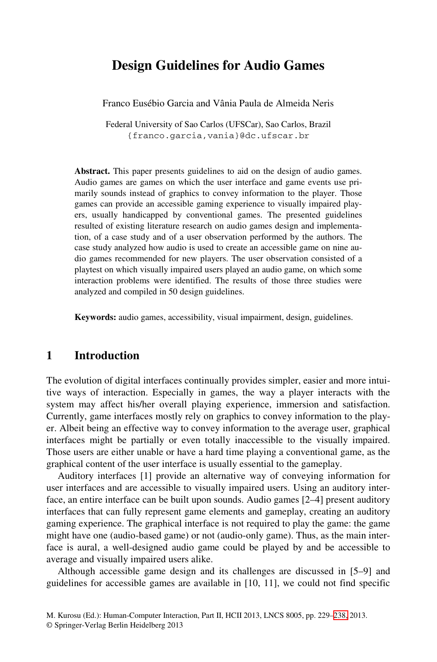# **Design Guidelines for Audio Games**

Franco Eusébio Garcia and Vânia Paula de Almeida Neris

Federal University of Sao Carlos (UFSCar), Sao Carlos, Brazil {franco.garcia,vania}@dc.ufscar.br

**Abstract.** This paper presents guidelines to aid on the design of audio games. Audio games are games on which the user interface and game events use primarily sounds instead of graphics to convey information to the player. Those games can provide an accessible gaming experience to visually impaired players, usually handicapped by conventional games. The presented guidelines resulted of existing literature research on audio games design and implementation, of a case study and of a user observation performed by the authors. The case study analyzed how audio is used to create an accessible game on nine audio games recommended for new players. The user observation consisted of a playtest on which visually impaired users played an audio game, on which some interaction problems were identified. The results of those three studies were analyzed and compiled in 50 design guidelines.

**Keywords:** audio games, accessibility, visual impairment, design, guidelines.

### **1 Introduction**

The evolution of digital interfaces continually provides simpler, easier and more intuitive ways of interaction. Especially in games, the way a player interacts with the system may affect his/her overall playing experience, immersion and satisfaction. Currently, game interfaces mostly rely on graphics to convey information to the player. Albeit being an effective way to convey information to the average user, graphical interfaces might be partially or even totally inaccessible to the visually impaired. Those users are either unable or have a hard time playing a conventional game, as the graphical content of the user interface is usually essential to the gameplay.

Auditory interfaces [1] provide an alternative way of conveying information for user interfaces and are accessible to visually impaired users. Using an auditory interface, an entire interface can be built upon sounds. Audio games [2–4] present auditory interfaces that can fully represent game elements and gameplay, creating an auditory gaming experience. The graphical interface is not re[quire](#page-9-0)d to play the game: the game might have one (audio-based game) or not (audio-only game). Thus, as the main interface is aural, a well-designed audio game could be played by and be accessible to average and visually impaired users alike.

Although accessible game design and its challenges are discussed in [5–9] and guidelines for accessible games are available in [10, 11], we could not find specific

M. Kurosu (Ed.): Human-Computer Interaction, Part II, HCII 2013, LNCS 8005, pp. 229–238, 2013. © Springer-Verlag Berlin Heidelberg 2013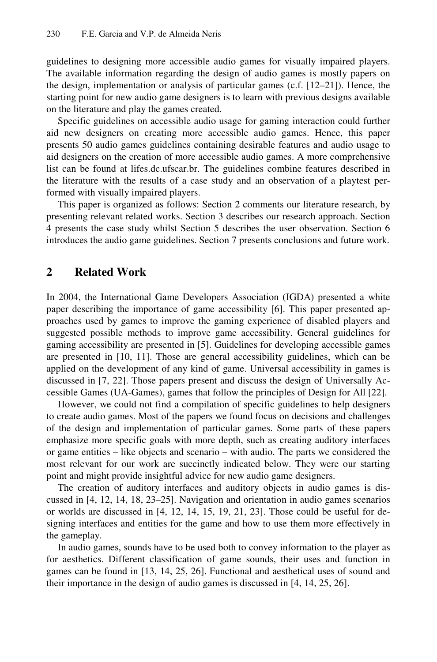guidelines to designing more accessible audio games for visually impaired players. The available information regarding the design of audio games is mostly papers on the design, implementation or analysis of particular games (c.f. [12–21]). Hence, the starting point for new audio game designers is to learn with previous designs available on the literature and play the games created.

Specific guidelines on accessible audio usage for gaming interaction could further aid new designers on creating more accessible audio games. Hence, this paper presents 50 audio games guidelines containing desirable features and audio usage to aid designers on the creation of more accessible audio games. A more comprehensive list can be found at lifes.dc.ufscar.br. The guidelines combine features described in the literature with the results of a case study and an observation of a playtest performed with visually impaired players.

This paper is organized as follows: Section 2 comments our literature research, by presenting relevant related works. Section 3 describes our research approach. Section 4 presents the case study whilst Section 5 describes the user observation. Section 6 introduces the audio game guidelines. Section 7 presents conclusions and future work.

#### **2 Related Work**

In 2004, the International Game Developers Association (IGDA) presented a white paper describing the importance of game accessibility [6]. This paper presented approaches used by games to improve the gaming experience of disabled players and suggested possible methods to improve game accessibility. General guidelines for gaming accessibility are presented in [5]. Guidelines for developing accessible games are presented in [10, 11]. Those are general accessibility guidelines, which can be applied on the development of any kind of game. Universal accessibility in games is discussed in [7, 22]. Those papers present and discuss the design of Universally Accessible Games (UA-Games), games that follow the principles of Design for All [22].

However, we could not find a compilation of specific guidelines to help designers to create audio games. Most of the papers we found focus on decisions and challenges of the design and implementation of particular games. Some parts of these papers emphasize more specific goals with more depth, such as creating auditory interfaces or game entities – like objects and scenario – with audio. The parts we considered the most relevant for our work are succinctly indicated below. They were our starting point and might provide insightful advice for new audio game designers.

The creation of auditory interfaces and auditory objects in audio games is discussed in [4, 12, 14, 18, 23–25]. Navigation and orientation in audio games scenarios or worlds are discussed in [4, 12, 14, 15, 19, 21, 23]. Those could be useful for designing interfaces and entities for the game and how to use them more effectively in the gameplay.

In audio games, sounds have to be used both to convey information to the player as for aesthetics. Different classification of game sounds, their uses and function in games can be found in [13, 14, 25, 26]. Functional and aesthetical uses of sound and their importance in the design of audio games is discussed in [4, 14, 25, 26].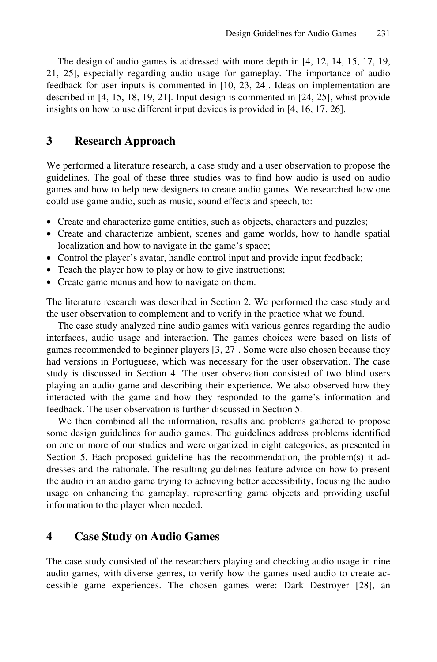The design of audio games is addressed with more depth in [4, 12, 14, 15, 17, 19, 21, 25], especially regarding audio usage for gameplay. The importance of audio feedback for user inputs is commented in [10, 23, 24]. Ideas on implementation are described in [4, 15, 18, 19, 21]. Input design is commented in [24, 25], whist provide insights on how to use different input devices is provided in [4, 16, 17, 26].

# **3 Research Approach**

We performed a literature research, a case study and a user observation to propose the guidelines. The goal of these three studies was to find how audio is used on audio games and how to help new designers to create audio games. We researched how one could use game audio, such as music, sound effects and speech, to:

- Create and characterize game entities, such as objects, characters and puzzles;
- Create and characterize ambient, scenes and game worlds, how to handle spatial localization and how to navigate in the game's space;
- Control the player's avatar, handle control input and provide input feedback;
- Teach the player how to play or how to give instructions;
- Create game menus and how to navigate on them.

The literature research was described in Section 2. We performed the case study and the user observation to complement and to verify in the practice what we found.

The case study analyzed nine audio games with various genres regarding the audio interfaces, audio usage and interaction. The games choices were based on lists of games recommended to beginner players [3, 27]. Some were also chosen because they had versions in Portuguese, which was necessary for the user observation. The case study is discussed in Section 4. The user observation consisted of two blind users playing an audio game and describing their experience. We also observed how they interacted with the game and how they responded to the game's information and feedback. The user observation is further discussed in Section 5.

We then combined all the information, results and problems gathered to propose some design guidelines for audio games. The guidelines address problems identified on one or more of our studies and were organized in eight categories, as presented in Section 5. Each proposed guideline has the recommendation, the problem(s) it addresses and the rationale. The resulting guidelines feature advice on how to present the audio in an audio game trying to achieving better accessibility, focusing the audio usage on enhancing the gameplay, representing game objects and providing useful information to the player when needed.

## **4 Case Study on Audio Games**

The case study consisted of the researchers playing and checking audio usage in nine audio games, with diverse genres, to verify how the games used audio to create accessible game experiences. The chosen games were: Dark Destroyer [28], an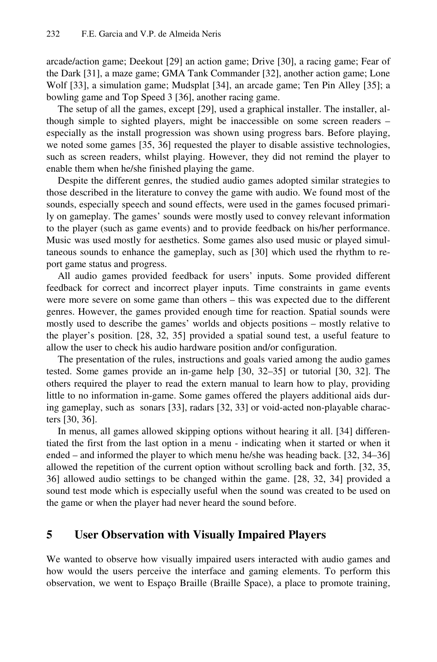arcade/action game; Deekout [29] an action game; Drive [30], a racing game; Fear of the Dark [31], a maze game; GMA Tank Commander [32], another action game; Lone Wolf [33], a simulation game; Mudsplat [34], an arcade game; Ten Pin Alley [35]; a bowling game and Top Speed 3 [36], another racing game.

The setup of all the games, except [29], used a graphical installer. The installer, although simple to sighted players, might be inaccessible on some screen readers – especially as the install progression was shown using progress bars. Before playing, we noted some games [35, 36] requested the player to disable assistive technologies, such as screen readers, whilst playing. However, they did not remind the player to enable them when he/she finished playing the game.

Despite the different genres, the studied audio games adopted similar strategies to those described in the literature to convey the game with audio. We found most of the sounds, especially speech and sound effects, were used in the games focused primarily on gameplay. The games' sounds were mostly used to convey relevant information to the player (such as game events) and to provide feedback on his/her performance. Music was used mostly for aesthetics. Some games also used music or played simultaneous sounds to enhance the gameplay, such as [30] which used the rhythm to report game status and progress.

All audio games provided feedback for users' inputs. Some provided different feedback for correct and incorrect player inputs. Time constraints in game events were more severe on some game than others – this was expected due to the different genres. However, the games provided enough time for reaction. Spatial sounds were mostly used to describe the games' worlds and objects positions – mostly relative to the player's position. [28, 32, 35] provided a spatial sound test, a useful feature to allow the user to check his audio hardware position and/or configuration.

The presentation of the rules, instructions and goals varied among the audio games tested. Some games provide an in-game help [30, 32–35] or tutorial [30, 32]. The others required the player to read the extern manual to learn how to play, providing little to no information in-game. Some games offered the players additional aids during gameplay, such as sonars [33], radars [32, 33] or void-acted non-playable characters [30, 36].

In menus, all games allowed skipping options without hearing it all. [34] differentiated the first from the last option in a menu - indicating when it started or when it ended – and informed the player to which menu he/she was heading back. [32, 34–36] allowed the repetition of the current option without scrolling back and forth. [32, 35, 36] allowed audio settings to be changed within the game. [28, 32, 34] provided a sound test mode which is especially useful when the sound was created to be used on the game or when the player had never heard the sound before.

## **5 User Observation with Visually Impaired Players**

We wanted to observe how visually impaired users interacted with audio games and how would the users perceive the interface and gaming elements. To perform this observation, we went to Espaço Braille (Braille Space), a place to promote training,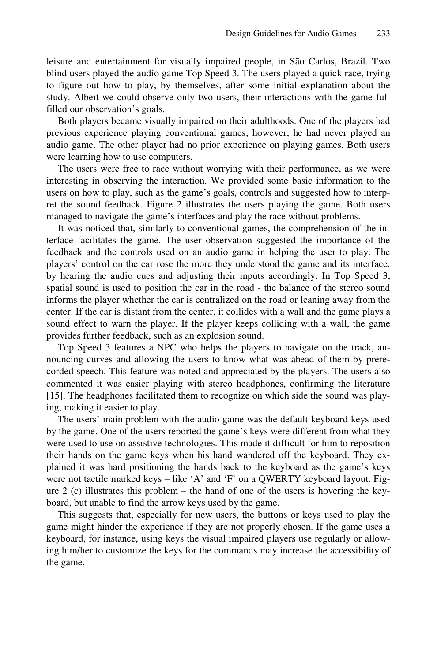leisure and entertainment for visually impaired people, in São Carlos, Brazil. Two blind users played the audio game Top Speed 3. The users played a quick race, trying to figure out how to play, by themselves, after some initial explanation about the study. Albeit we could observe only two users, their interactions with the game fulfilled our observation's goals.

Both players became visually impaired on their adulthoods. One of the players had previous experience playing conventional games; however, he had never played an audio game. The other player had no prior experience on playing games. Both users were learning how to use computers.

The users were free to race without worrying with their performance, as we were interesting in observing the interaction. We provided some basic information to the users on how to play, such as the game's goals, controls and suggested how to interpret the sound feedback. Figure 2 illustrates the users playing the game. Both users managed to navigate the game's interfaces and play the race without problems.

It was noticed that, similarly to conventional games, the comprehension of the interface facilitates the game. The user observation suggested the importance of the feedback and the controls used on an audio game in helping the user to play. The players' control on the car rose the more they understood the game and its interface, by hearing the audio cues and adjusting their inputs accordingly. In Top Speed 3, spatial sound is used to position the car in the road - the balance of the stereo sound informs the player whether the car is centralized on the road or leaning away from the center. If the car is distant from the center, it collides with a wall and the game plays a sound effect to warn the player. If the player keeps colliding with a wall, the game provides further feedback, such as an explosion sound.

Top Speed 3 features a NPC who helps the players to navigate on the track, announcing curves and allowing the users to know what was ahead of them by prerecorded speech. This feature was noted and appreciated by the players. The users also commented it was easier playing with stereo headphones, confirming the literature [15]. The headphones facilitated them to recognize on which side the sound was playing, making it easier to play.

The users' main problem with the audio game was the default keyboard keys used by the game. One of the users reported the game's keys were different from what they were used to use on assistive technologies. This made it difficult for him to reposition their hands on the game keys when his hand wandered off the keyboard. They explained it was hard positioning the hands back to the keyboard as the game's keys were not tactile marked keys – like 'A' and 'F' on a OWERTY keyboard layout. Figure 2 (c) illustrates this problem – the hand of one of the users is hovering the keyboard, but unable to find the arrow keys used by the game.

This suggests that, especially for new users, the buttons or keys used to play the game might hinder the experience if they are not properly chosen. If the game uses a keyboard, for instance, using keys the visual impaired players use regularly or allowing him/her to customize the keys for the commands may increase the accessibility of the game.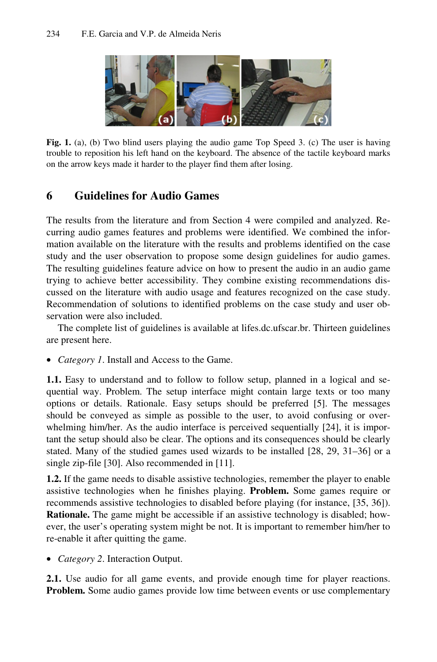

**Fig. 1.** (a), (b) Two blind users playing the audio game Top Speed 3. (c) The user is having trouble to reposition his left hand on the keyboard. The absence of the tactile keyboard marks on the arrow keys made it harder to the player find them after losing.

# **6 Guidelines for A Audio Games**

The results from the literature and from Section 4 were compiled and analyzed. Recurring audio games features and problems were identified. We combined the information available on the literature with the results and problems identified on the case study and the user observation to propose some design guidelines for audio games. The resulting guidelines feature advice on how to present the audio in an audio game trying to achieve better accessibility. They combine existing recommendations discussed on the literature with audio usage and features recognized on the case study. Recommendation of solutions to identified problems on the case study and user observation were also include d.

The complete list of guidelines is available at lifes.dc.ufscar.br. Thirteen guidelines are present here.

• *Category 1*. Install and A Access to the Game.

**1.1.** Easy to understand and to follow to follow setup, planned in a logical and sequential way. Problem. The setup interface might contain large texts or too many options or details. Rationale. Easy setups should be preferred [5]. The messages should be conveyed as simple as possible to the user, to avoid confusing or overwhelming him/her. As the audio interface is perceived sequentially [24], it is important the setup should also be clear. The options and its consequences should be clearly stated. Many of the studied games used wizards to be installed [28, 29, 31–36] or a single zip-file [30]. Also recommended in [11].

**1.2.** If the game needs to disable assistive technologies, remember the player to enable assistive technologies when he finishes playing. Problem. Some games require or recommends assistive technologies to disabled before playing (for instance, [35, 36]). Rationale. The game might be accessible if an assistive technology is disabled; however, the user's operating system might be not. It is important to remember him/her to re-enable it after quitting the game.

• *Category 2*. Interaction Output.

2.1. Use audio for all game events, and provide enough time for player reactions. Problem. Some audio games provide low time between events or use complementary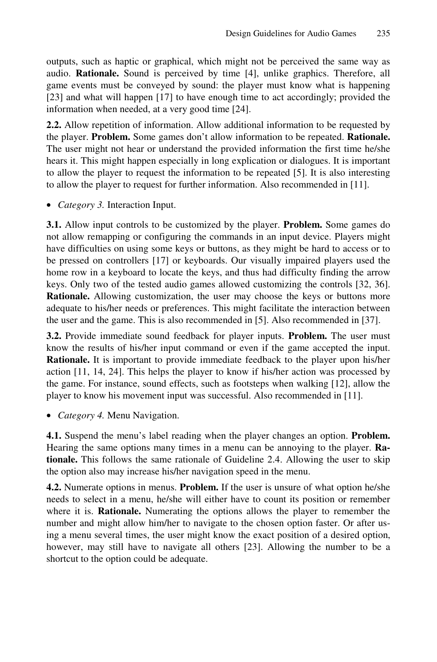outputs, such as haptic or graphical, which might not be perceived the same way as audio. **Rationale.** Sound is perceived by time [4], unlike graphics. Therefore, all game events must be conveyed by sound: the player must know what is happening [23] and what will happen [17] to have enough time to act accordingly; provided the information when needed, at a very good time [24].

**2.2.** Allow repetition of information. Allow additional information to be requested by the player. **Problem.** Some games don't allow information to be repeated. **Rationale.** The user might not hear or understand the provided information the first time he/she hears it. This might happen especially in long explication or dialogues. It is important to allow the player to request the information to be repeated [5]. It is also interesting to allow the player to request for further information. Also recommended in [11].

• *Category 3.* Interaction Input.

**3.1.** Allow input controls to be customized by the player. **Problem.** Some games do not allow remapping or configuring the commands in an input device. Players might have difficulties on using some keys or buttons, as they might be hard to access or to be pressed on controllers [17] or keyboards. Our visually impaired players used the home row in a keyboard to locate the keys, and thus had difficulty finding the arrow keys. Only two of the tested audio games allowed customizing the controls [32, 36]. **Rationale.** Allowing customization, the user may choose the keys or buttons more adequate to his/her needs or preferences. This might facilitate the interaction between the user and the game. This is also recommended in [5]. Also recommended in [37].

**3.2.** Provide immediate sound feedback for player inputs. **Problem.** The user must know the results of his/her input command or even if the game accepted the input. **Rationale.** It is important to provide immediate feedback to the player upon his/her action [11, 14, 24]. This helps the player to know if his/her action was processed by the game. For instance, sound effects, such as footsteps when walking [12], allow the player to know his movement input was successful. Also recommended in [11].

• *Category 4.* Menu Navigation.

**4.1.** Suspend the menu's label reading when the player changes an option. **Problem.** Hearing the same options many times in a menu can be annoying to the player. **Rationale.** This follows the same rationale of Guideline 2.4. Allowing the user to skip the option also may increase his/her navigation speed in the menu.

**4.2.** Numerate options in menus. **Problem.** If the user is unsure of what option he/she needs to select in a menu, he/she will either have to count its position or remember where it is. **Rationale.** Numerating the options allows the player to remember the number and might allow him/her to navigate to the chosen option faster. Or after using a menu several times, the user might know the exact position of a desired option, however, may still have to navigate all others [23]. Allowing the number to be a shortcut to the option could be adequate.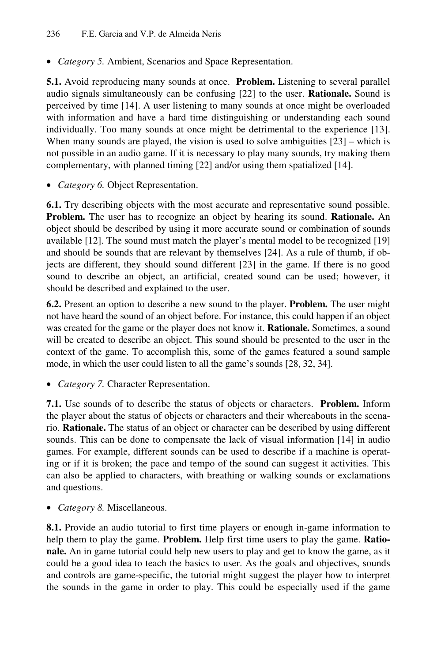• *Category 5.* Ambient, Scenarios and Space Representation.

**5.1.** Avoid reproducing many sounds at once. **Problem.** Listening to several parallel audio signals simultaneously can be confusing [22] to the user. **Rationale.** Sound is perceived by time [14]. A user listening to many sounds at once might be overloaded with information and have a hard time distinguishing or understanding each sound individually. Too many sounds at once might be detrimental to the experience [13]. When many sounds are played, the vision is used to solve ambiguities [23] – which is not possible in an audio game. If it is necessary to play many sounds, try making them complementary, with planned timing [22] and/or using them spatialized [14].

• *Category 6.* Object Representation.

**6.1.** Try describing objects with the most accurate and representative sound possible. **Problem.** The user has to recognize an object by hearing its sound. **Rationale.** An object should be described by using it more accurate sound or combination of sounds available [12]. The sound must match the player's mental model to be recognized [19] and should be sounds that are relevant by themselves [24]. As a rule of thumb, if objects are different, they should sound different [23] in the game. If there is no good sound to describe an object, an artificial, created sound can be used; however, it should be described and explained to the user.

**6.2.** Present an option to describe a new sound to the player. **Problem.** The user might not have heard the sound of an object before. For instance, this could happen if an object was created for the game or the player does not know it. **Rationale.** Sometimes, a sound will be created to describe an object. This sound should be presented to the user in the context of the game. To accomplish this, some of the games featured a sound sample mode, in which the user could listen to all the game's sounds [28, 32, 34].

• *Category 7.* Character Representation.

**7.1.** Use sounds of to describe the status of objects or characters. **Problem.** Inform the player about the status of objects or characters and their whereabouts in the scenario. **Rationale.** The status of an object or character can be described by using different sounds. This can be done to compensate the lack of visual information [14] in audio games. For example, different sounds can be used to describe if a machine is operating or if it is broken; the pace and tempo of the sound can suggest it activities. This can also be applied to characters, with breathing or walking sounds or exclamations and questions.

• *Category 8.* Miscellaneous.

**8.1.** Provide an audio tutorial to first time players or enough in-game information to help them to play the game. **Problem.** Help first time users to play the game. **Rationale.** An in game tutorial could help new users to play and get to know the game, as it could be a good idea to teach the basics to user. As the goals and objectives, sounds and controls are game-specific, the tutorial might suggest the player how to interpret the sounds in the game in order to play. This could be especially used if the game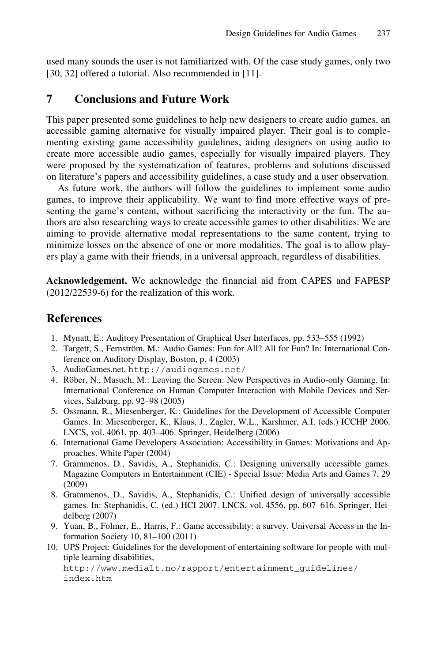used many sounds the user is not familiarized with. Of the case study games, only two [30, 32] offered a tutorial. Also recommended in [11].

#### **7 Conclusions and Future Work**

This paper presented some guidelines to help new designers to create audio games, an accessible gaming alternative for visually impaired player. Their goal is to complementing existing game accessibility guidelines, aiding designers on using audio to create more accessible audio games, especially for visually impaired players. They were proposed by the systematization of features, problems and solutions discussed on literature's papers and accessibility guidelines, a case study and a user observation.

As future work, the authors will follow the guidelines to implement some audio games, to improve their applicability. We want to find more effective ways of presenting the game's content, without sacrificing the interactivity or the fun. The authors are also researching ways to create accessible games to other disabilities. We are aiming to provide alternative modal representations to the same content, trying to minimize losses on the absence of one or more modalities. The goal is to allow players play a game with their friends, in a universal approach, regardless of disabilities.

**Acknowledgement.** We acknowledge the financial aid from CAPES and FAPESP (2012/22539-6) for the realization of this work.

#### **References**

- 1. Mynatt, E.: Auditory Presentation of Graphical User Interfaces, pp. 533–555 (1992)
- 2. Targett, S., Fernström, M.: Audio Games: Fun for All? All for Fun? In: International Conference on Auditory Display, Boston, p. 4 (2003)
- 3. AudioGames.net, http://audiogames.net/
- 4. Röber, N., Masuch, M.: Leaving the Screen: New Perspectives in Audio-only Gaming. In: International Conference on Human Computer Interaction with Mobile Devices and Services, Salzburg, pp. 92–98 (2005)
- 5. Ossmann, R., Miesenberger, K.: Guidelines for the Development of Accessible Computer Games. In: Miesenberger, K., Klaus, J., Zagler, W.L., Karshmer, A.I. (eds.) ICCHP 2006. LNCS, vol. 4061, pp. 403–406. Springer, Heidelberg (2006)
- 6. International Game Developers Association: Accessibility in Games: Motivations and Approaches. White Paper (2004)
- 7. Grammenos, D., Savidis, A., Stephanidis, C.: Designing universally accessible games. Magazine Computers in Entertainment (CIE) - Special Issue: Media Arts and Games 7, 29 (2009)
- 8. Grammenos, D., Savidis, A., Stephanidis, C.: Unified design of universally accessible games. In: Stephanidis, C. (ed.) HCI 2007. LNCS, vol. 4556, pp. 607–616. Springer, Heidelberg (2007)
- 9. Yuan, B., Folmer, E., Harris, F.: Game accessibility: a survey. Universal Access in the Information Society 10, 81–100 (2011)
- 10. UPS Project: Guidelines for the development of entertaining software for people with multiple learning disabilities,

http://www.medialt.no/rapport/entertainment\_guidelines/ index.htm